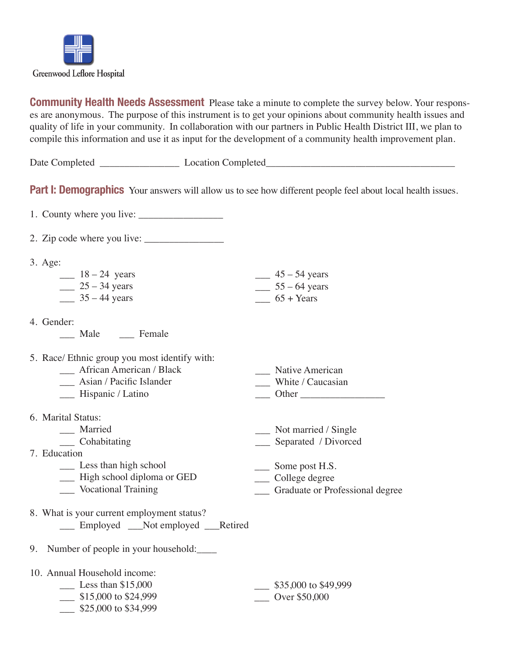

**Community Health Needs Assessment** Please take a minute to complete the survey below. Your responses are anonymous. The purpose of this instrument is to get your opinions about community health issues and quality of life in your community. In collaboration with our partners in Public Health District III, we plan to compile this information and use it as input for the development of a community health improvement plan.

| Date (<br>Completed | ompletec<br>ocation ' |
|---------------------|-----------------------|
|                     |                       |

**Part I: Demographics** Your answers will allow us to see how different people feel about local health issues.

1. County where you live:

2. Zip code where you live:

| $3. \text{Age}$ |                 |
|-----------------|-----------------|
| $18-24$ years   | $45 - 54$ years |
| $25 - 34$ years | $55 - 64$ years |
| $35 - 44$ years | $65 + Years$    |
|                 |                 |

4. Gender:

Male Female

5. Race/ Ethnic group you most identify with:

- \_\_\_ Asian / Pacific Islander \_\_\_ Hispanic / Latino \_\_\_ White / Caucasian \_\_\_ Other \_\_\_\_\_\_\_\_\_\_\_\_\_\_\_\_\_
- 6. Marital Status:
	- \_\_\_ Married
		- \_\_\_ Cohabitating
- 7. Education
	- \_\_\_ Less than high school
	- \_\_\_ High school diploma or GED
	- \_\_\_ Vocational Training
- 8. What is your current employment status? Employed Not employed Retired
- 9. Number of people in your household:

10. Annual Household income:

- \_\_\_ Less than \$15,000
	- \_\_\_ \$15,000 to \$24,999
	- \_\_\_ \$25,000 to \$34,999

 $$35,000$  to \$49,999 \_\_\_ Over \$50,000

\_\_\_\_ Some post H.S. \_\_\_ College degree

Not married / Single \_\_\_ Separated / Divorced

\_\_\_ Native American

\_\_\_ Graduate or Professional degree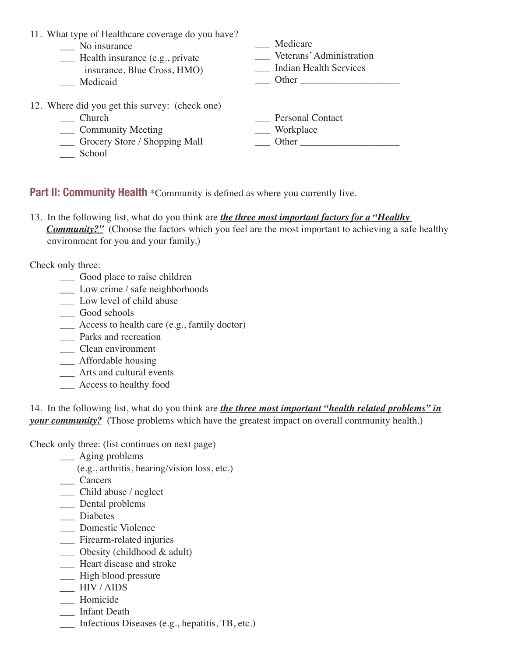| 11. What type of Healthcare coverage do you have? |                            |
|---------------------------------------------------|----------------------------|
| No insurance                                      | Medicare                   |
| __ Health insurance (e.g., private                | _ Veterans' Administration |
| insurance, Blue Cross, HMO)                       | Indian Health Services     |
| Medicaid                                          | Other                      |
| 12. Where did you get this survey: (check one)    |                            |
| Church                                            | <b>Personal Contact</b>    |
| ___ Community Meeting                             | ___ Workplace              |
| Grocery Store / Shopping Mall                     | Other                      |
| School                                            |                            |

**Part II: Community Health** \*Community is defined as where you currently live.

13. In the following list, what do you think are *the three most important factors for a "Healthy Community?"* (Choose the factors which you feel are the most important to achieving a safe healthy environment for you and your family.)

Check only three:

- \_\_\_ Good place to raise children
- \_\_\_ Low crime / safe neighborhoods
- \_\_\_ Low level of child abuse
- \_\_\_ Good schools
- \_\_\_ Access to health care (e.g., family doctor)
- \_\_\_ Parks and recreation
- \_\_\_ Clean environment
- \_\_\_ Affordable housing
- \_\_\_ Arts and cultural events
- \_\_\_ Access to healthy food

14. In the following list, what do you think are *the three most important "health related problems" in your community?* (Those problems which have the greatest impact on overall community health.)

Check only three: (list continues on next page)

- \_\_\_ Aging problems
	- (e.g., arthritis, hearing/vision loss, etc.)
- \_\_\_ Cancers
- \_\_\_ Child abuse / neglect
- \_\_\_ Dental problems
- \_\_\_ Diabetes
- \_\_\_ Domestic Violence
- \_\_\_ Firearm-related injuries
- \_\_\_ Obesity (childhood & adult)
- \_\_\_ Heart disease and stroke
- \_\_\_ High blood pressure
- \_\_\_ HIV / AIDS
- \_\_\_ Homicide
- \_\_\_ Infant Death
- \_\_\_ Infectious Diseases (e.g., hepatitis, TB, etc.)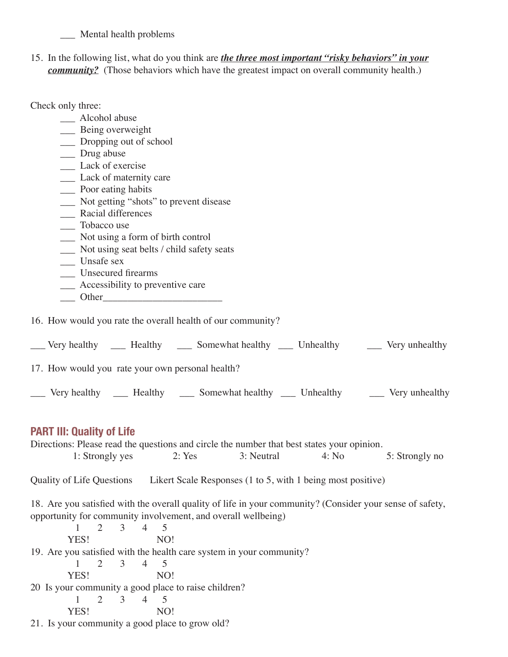\_\_\_ Mental health problems

15. In the following list, what do you think are *the three most important "risky behaviors" in your community?* (Those behaviors which have the greatest impact on overall community health.)

Check only three:

| Alcohol abuse                                                                                                                                                                                                                 |
|-------------------------------------------------------------------------------------------------------------------------------------------------------------------------------------------------------------------------------|
| ___ Being overweight                                                                                                                                                                                                          |
| __ Dropping out of school                                                                                                                                                                                                     |
| __ Drug abuse                                                                                                                                                                                                                 |
| Lack of exercise                                                                                                                                                                                                              |
| ___ Lack of maternity care                                                                                                                                                                                                    |
| ____ Poor eating habits                                                                                                                                                                                                       |
| Not getting "shots" to prevent disease                                                                                                                                                                                        |
| Racial differences                                                                                                                                                                                                            |
| Tobacco use                                                                                                                                                                                                                   |
| Not using a form of birth control                                                                                                                                                                                             |
| Not using seat belts / child safety seats                                                                                                                                                                                     |
| Unsafe sex                                                                                                                                                                                                                    |
| <b>Unsecured firearms</b>                                                                                                                                                                                                     |
| _____ Accessibility to preventive care                                                                                                                                                                                        |
| Other Contract Contract Contract Contract Contract Contract Contract Contract Contract Contract Contract Contract Contract Contract Contract Contract Contract Contract Contract Contract Contract Contract Contract Contract |
| 16. How would you rate the overall health of our community?                                                                                                                                                                   |
| __ Very healthy ____ Healthy ____ Somewhat healthy ____ Unhealthy ____ Very unhealthy                                                                                                                                         |
| 17. How would you rate your own personal health?                                                                                                                                                                              |

Very healthy \_\_\_ Healthy \_\_\_ Somewhat healthy \_\_\_ Unhealthy \_\_\_ Very unhealthy

## **PART III: Quality of Life**

Directions: Please read the questions and circle the number that best states your opinion. 1: Strongly yes 2: Yes 3: Neutral 4: No 5: Strongly no Quality of Life Questions Likert Scale Responses (1 to 5, with 1 being most positive) 18. Are you satisfied with the overall quality of life in your community? (Consider your sense of safety, opportunity for community involvement, and overall wellbeing) 1 2 3 4 5 YES! NO! 19. Are you satisfied with the health care system in your community? 1 2 3 4 5 YES! NO! 20 Is your community a good place to raise children? 1 2 3 4 5 YES! NO! 21. Is your community a good place to grow old?